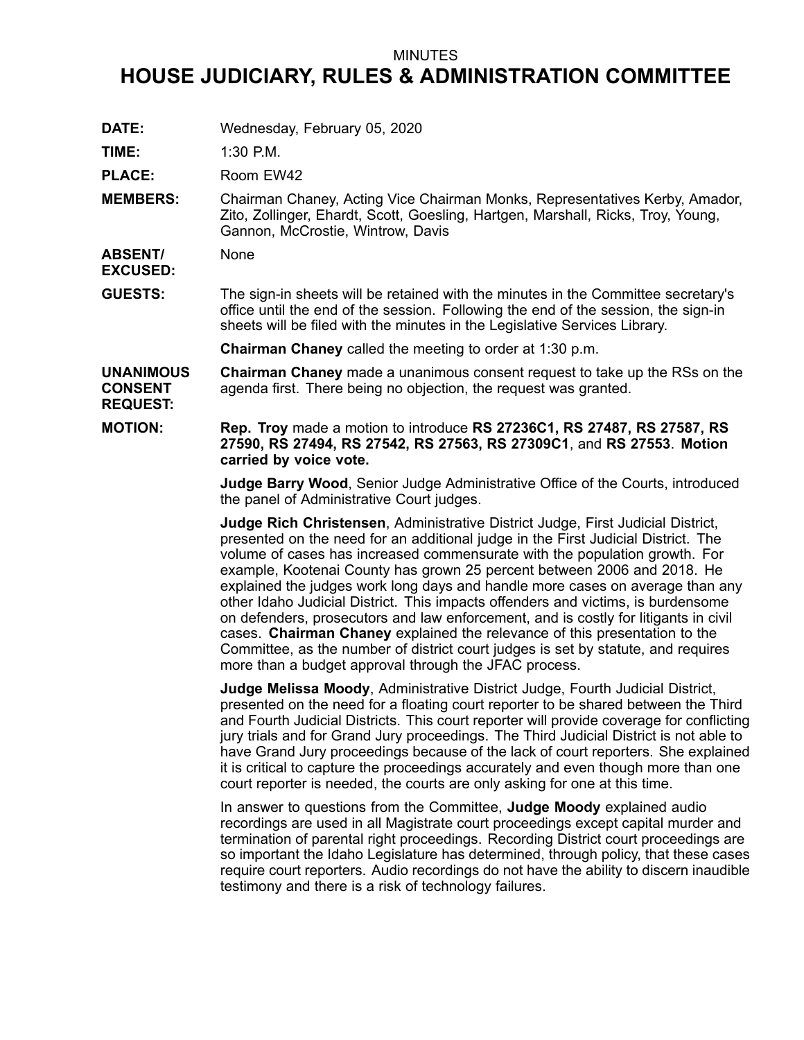## MINUTES

## **HOUSE JUDICIARY, RULES & ADMINISTRATION COMMITTEE**

**DATE:** Wednesday, February 05, 2020

**TIME:** 1:30 P.M.

PLACE: Room EW42

**MEMBERS:** Chairman Chaney, Acting Vice Chairman Monks, Representatives Kerby, Amador, Zito, Zollinger, Ehardt, Scott, Goesling, Hartgen, Marshall, Ricks, Troy, Young, Gannon, McCrostie, Wintrow, Davis

**ABSENT/ None** 

**EXCUSED:**

**GUESTS:** The sign-in sheets will be retained with the minutes in the Committee secretary's office until the end of the session. Following the end of the session, the sign-in sheets will be filed with the minutes in the Legislative Services Library.

**Chairman Chaney** called the meeting to order at 1:30 p.m.

**UNANIMOUS CONSENT REQUEST: Chairman Chaney** made <sup>a</sup> unanimous consent request to take up the RSs on the agenda first. There being no objection, the request was granted.

**MOTION: Rep. Troy** made <sup>a</sup> motion to introduce **RS 27236C1, RS 27487, RS 27587, RS 27590, RS 27494, RS 27542, RS 27563, RS 27309C1**, and **RS 27553**. **Motion carried by voice vote.**

> **Judge Barry Wood**, Senior Judge Administrative Office of the Courts, introduced the panel of Administrative Court judges.

> **Judge Rich Christensen**, Administrative District Judge, First Judicial District, presented on the need for an additional judge in the First Judicial District. The volume of cases has increased commensurate with the population growth. For example, Kootenai County has grown 25 percent between 2006 and 2018. He explained the judges work long days and handle more cases on average than any other Idaho Judicial District. This impacts offenders and victims, is burdensome on defenders, prosecutors and law enforcement, and is costly for litigants in civil cases. **Chairman Chaney** explained the relevance of this presentation to the Committee, as the number of district court judges is set by statute, and requires more than <sup>a</sup> budget approval through the JFAC process.

**Judge Melissa Moody**, Administrative District Judge, Fourth Judicial District, presented on the need for <sup>a</sup> floating court reporter to be shared between the Third and Fourth Judicial Districts. This court reporter will provide coverage for conflicting jury trials and for Grand Jury proceedings. The Third Judicial District is not able to have Grand Jury proceedings because of the lack of court reporters. She explained it is critical to capture the proceedings accurately and even though more than one court reporter is needed, the courts are only asking for one at this time.

In answer to questions from the Committee, **Judge Moody** explained audio recordings are used in all Magistrate court proceedings except capital murder and termination of parental right proceedings. Recording District court proceedings are so important the Idaho Legislature has determined, through policy, that these cases require court reporters. Audio recordings do not have the ability to discern inaudible testimony and there is <sup>a</sup> risk of technology failures.